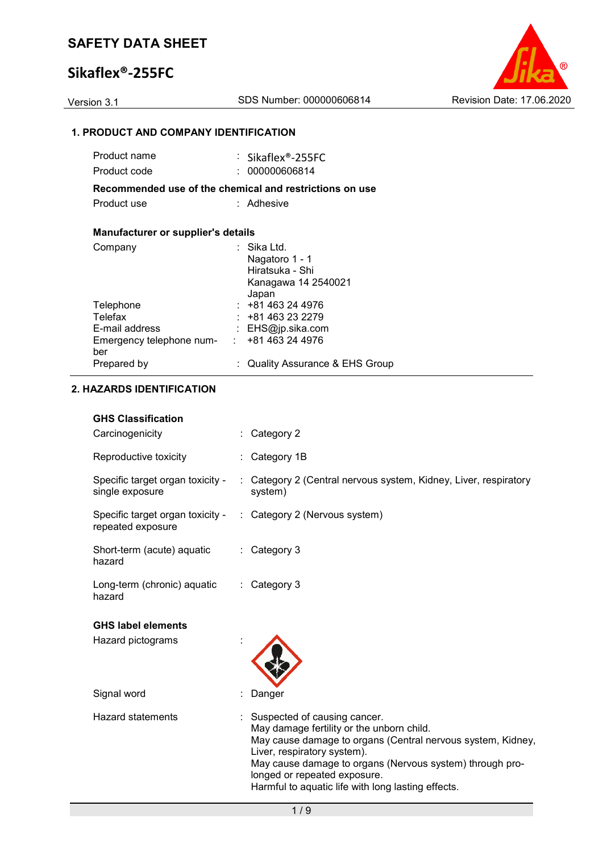## **Sikaflex®-255FC**



### **1. PRODUCT AND COMPANY IDENTIFICATION**

| Product name                                      | $\therefore$ Sikaflex®-255FC                            |
|---------------------------------------------------|---------------------------------------------------------|
| Product code                                      | : 000000606814                                          |
|                                                   | Recommended use of the chemical and restrictions on use |
| Product use                                       | : Adhesive                                              |
|                                                   |                                                         |
| <b>Manufacturer or supplier's details</b>         |                                                         |
| Company                                           | ⊹ Sika Ltd.                                             |
|                                                   | Nagatoro 1 - 1                                          |
|                                                   | Hiratsuka - Shi                                         |
|                                                   | Kanagawa 14 2540021                                     |
|                                                   | Japan                                                   |
| Telephone                                         | $: +81463244976$                                        |
| Telefax                                           | $: +81463232279$                                        |
| E-mail address                                    | : EHS@jp.sika.com                                       |
| Emergency telephone num- : +81 463 24 4976<br>ber |                                                         |
| Prepared by                                       | : Quality Assurance & EHS Group                         |

### **2. HAZARDS IDENTIFICATION**

### **GHS Classification**

| Carcinogenicity                                       | Category 2                                                                                                                                                                                                                                                          |
|-------------------------------------------------------|---------------------------------------------------------------------------------------------------------------------------------------------------------------------------------------------------------------------------------------------------------------------|
| Reproductive toxicity                                 | : Category 1B                                                                                                                                                                                                                                                       |
| Specific target organ toxicity -<br>single exposure   | : Category 2 (Central nervous system, Kidney, Liver, respiratory<br>system)                                                                                                                                                                                         |
| Specific target organ toxicity -<br>repeated exposure | : Category 2 (Nervous system)                                                                                                                                                                                                                                       |
| Short-term (acute) aquatic<br>hazard                  | : Category 3                                                                                                                                                                                                                                                        |
| Long-term (chronic) aquatic<br>hazard                 | Category 3<br>÷.                                                                                                                                                                                                                                                    |
| <b>GHS label elements</b>                             |                                                                                                                                                                                                                                                                     |
| Hazard pictograms                                     |                                                                                                                                                                                                                                                                     |
| Signal word                                           | Danger                                                                                                                                                                                                                                                              |
| <b>Hazard statements</b>                              | Suspected of causing cancer.<br>May damage fertility or the unborn child.<br>May cause damage to organs (Central nervous system, Kidney,<br>Liver, respiratory system).<br>May cause damage to organs (Nervous system) through pro-<br>longed or repeated exposure. |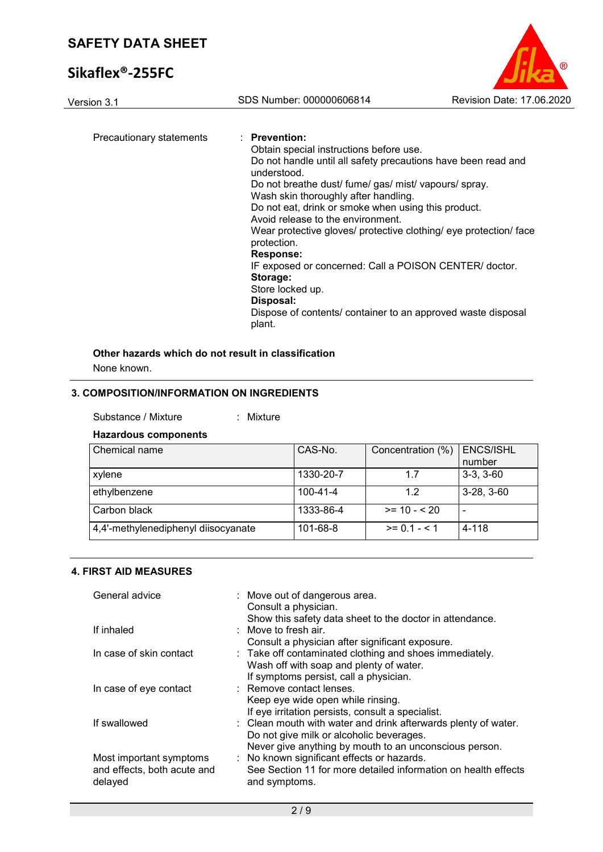# **Sikaflex®-255FC**



Version 3.1 SDS Number: 000000606814 Revision Date: 17.06.2020 Precautionary statements : **Prevention:**  Obtain special instructions before use. Do not handle until all safety precautions have been read and understood. Do not breathe dust/ fume/ gas/ mist/ vapours/ spray. Wash skin thoroughly after handling.

Do not eat, drink or smoke when using this product.

Avoid release to the environment.

Wear protective gloves/ protective clothing/ eye protection/ face protection.

**Response:** 

IF exposed or concerned: Call a POISON CENTER/ doctor. **Storage:**  Store locked up.

### **Disposal:**

Dispose of contents/ container to an approved waste disposal plant.

### **Other hazards which do not result in classification**

None known.

### **3. COMPOSITION/INFORMATION ON INGREDIENTS**

#### Substance / Mixture : Mixture

#### **Hazardous components**

| Chemical name                       | CAS-No.        | Concentration (%) | <b>ENCS/ISHL</b><br>number |
|-------------------------------------|----------------|-------------------|----------------------------|
| xylene                              | 1330-20-7      | 1.7               | $3-3, 3-60$                |
| ethylbenzene                        | $100 - 41 - 4$ | 1.2               | $3-28, 3-60$               |
| Carbon black                        | 1333-86-4      | $>= 10 - 520$     | $\overline{\phantom{0}}$   |
| 4,4'-methylenediphenyl diisocyanate | 101-68-8       | $>= 0.1 - 5.1$    | 4-118                      |

#### **4. FIRST AID MEASURES**

| General advice                                                    | : Move out of dangerous area.<br>Consult a physician.<br>Show this safety data sheet to the doctor in attendance.                                                    |
|-------------------------------------------------------------------|----------------------------------------------------------------------------------------------------------------------------------------------------------------------|
| If inhaled                                                        | $\therefore$ Move to fresh air.<br>Consult a physician after significant exposure.                                                                                   |
| In case of skin contact                                           | : Take off contaminated clothing and shoes immediately.<br>Wash off with soap and plenty of water.<br>If symptoms persist, call a physician.                         |
| In case of eye contact                                            | : Remove contact lenses.<br>Keep eye wide open while rinsing.<br>If eye irritation persists, consult a specialist.                                                   |
| If swallowed                                                      | : Clean mouth with water and drink afterwards plenty of water.<br>Do not give milk or alcoholic beverages.<br>Never give anything by mouth to an unconscious person. |
| Most important symptoms<br>and effects, both acute and<br>delayed | : No known significant effects or hazards.<br>See Section 11 for more detailed information on health effects<br>and symptoms.                                        |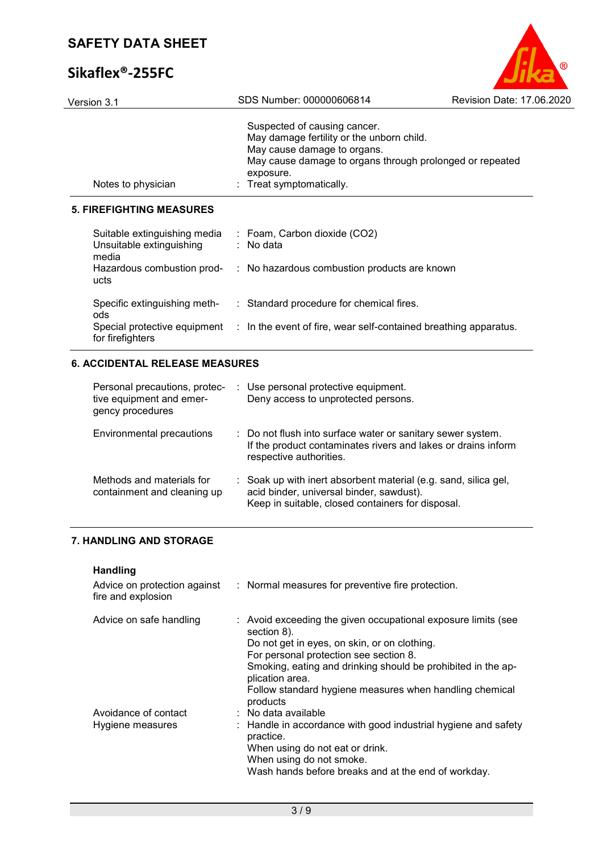# **Sikaflex®-255FC**



| Version 3.1                                                                   | SDS Number: 000000606814                                                                                                                                                                                    | Revision Date: 17.06.2020 |
|-------------------------------------------------------------------------------|-------------------------------------------------------------------------------------------------------------------------------------------------------------------------------------------------------------|---------------------------|
| Notes to physician                                                            | Suspected of causing cancer.<br>May damage fertility or the unborn child.<br>May cause damage to organs.<br>May cause damage to organs through prolonged or repeated<br>exposure.<br>Treat symptomatically. |                           |
| <b>5. FIREFIGHTING MEASURES</b>                                               |                                                                                                                                                                                                             |                           |
| Suitable extinguishing media<br>Unsuitable extinguishing<br>media             | : Foam, Carbon dioxide (CO2)<br>: No data                                                                                                                                                                   |                           |
| ucts                                                                          | Hazardous combustion prod- : No hazardous combustion products are known                                                                                                                                     |                           |
| Specific extinguishing meth-<br>ods                                           | : Standard procedure for chemical fires.                                                                                                                                                                    |                           |
| for firefighters                                                              | Special protective equipment : In the event of fire, wear self-contained breathing apparatus.                                                                                                               |                           |
| <b>6. ACCIDENTAL RELEASE MEASURES</b>                                         |                                                                                                                                                                                                             |                           |
| Personal precautions, protec-<br>tive equipment and emer-<br>gency procedures | : Use personal protective equipment.<br>Deny access to unprotected persons.                                                                                                                                 |                           |
| <b>Environmental precautions</b>                                              | Do not flush into surface water or sanitary sewer system.<br>If the product contaminates rivers and lakes or drains inform<br>respective authorities.                                                       |                           |
| Methods and materials for<br>containment and cleaning up                      | Soak up with inert absorbent material (e.g. sand, silica gel,<br>acid binder, universal binder, sawdust).<br>Keep in suitable, closed containers for disposal.                                              |                           |

## **7. HANDLING AND STORAGE**

# **Handling**

| fire and explosion                       | Advice on protection against : Normal measures for preventive fire protection.                                                                                                                                                                                                                                                   |
|------------------------------------------|----------------------------------------------------------------------------------------------------------------------------------------------------------------------------------------------------------------------------------------------------------------------------------------------------------------------------------|
| Advice on safe handling                  | : Avoid exceeding the given occupational exposure limits (see<br>section 8).<br>Do not get in eyes, on skin, or on clothing.<br>For personal protection see section 8.<br>Smoking, eating and drinking should be prohibited in the ap-<br>plication area.<br>Follow standard hygiene measures when handling chemical<br>products |
| Avoidance of contact<br>Hygiene measures | : No data available<br>: Handle in accordance with good industrial hygiene and safety<br>practice.<br>When using do not eat or drink.<br>When using do not smoke.<br>Wash hands before breaks and at the end of workday.                                                                                                         |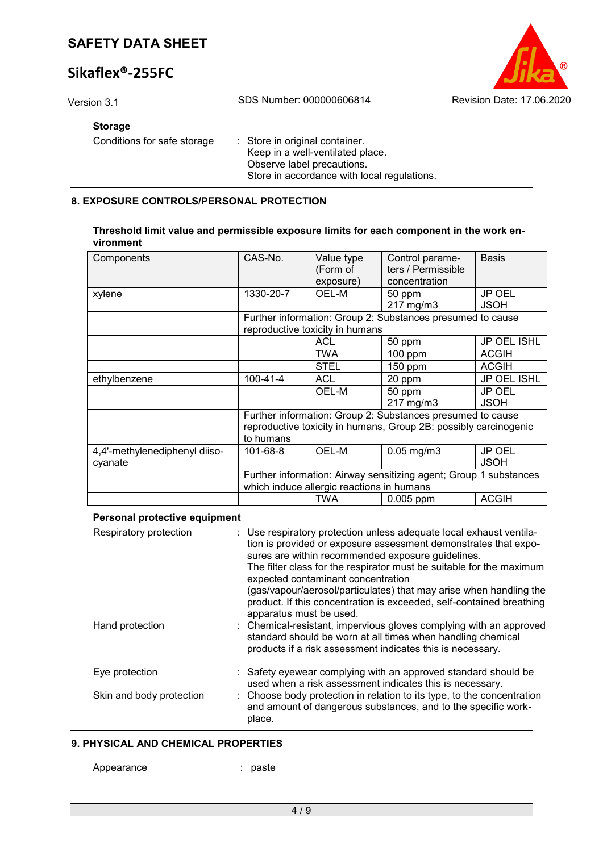# **Sikaflex®-255FC**

Version 3.1 SDS Number: 000000606814 Revision Date: 17.06.2020

#### **Storage**

Conditions for safe storage : Store in original container.

Keep in a well-ventilated place. Observe label precautions. Store in accordance with local regulations.

### **8. EXPOSURE CONTROLS/PERSONAL PROTECTION**

#### **Threshold limit value and permissible exposure limits for each component in the work environment**

| Components                               | CAS-No.                                                                                                        | Value type<br>(Form of<br>exposure) | Control parame-<br>ters / Permissible<br>concentration     | <b>Basis</b>                 |  |  |
|------------------------------------------|----------------------------------------------------------------------------------------------------------------|-------------------------------------|------------------------------------------------------------|------------------------------|--|--|
| xylene                                   | 1330-20-7                                                                                                      | OEL-M                               | 50 ppm                                                     | <b>JP OEL</b>                |  |  |
|                                          |                                                                                                                |                                     | 217 mg/m3                                                  | <b>JSOH</b>                  |  |  |
|                                          |                                                                                                                | reproductive toxicity in humans     | Further information: Group 2: Substances presumed to cause |                              |  |  |
|                                          |                                                                                                                | <b>ACL</b>                          | 50 ppm                                                     | JP OEL ISHL                  |  |  |
|                                          |                                                                                                                | TWA                                 | 100 ppm                                                    | <b>ACGIH</b>                 |  |  |
|                                          |                                                                                                                | <b>STEL</b>                         | 150 ppm                                                    | <b>ACGIH</b>                 |  |  |
| ethylbenzene                             | $100 - 41 - 4$                                                                                                 | <b>ACL</b>                          | 20 ppm                                                     | JP OEL ISHL                  |  |  |
|                                          |                                                                                                                | OEL-M                               | 50 ppm<br>217 mg/m3                                        | <b>JP OEL</b><br><b>JSOH</b> |  |  |
|                                          | Further information: Group 2: Substances presumed to cause                                                     |                                     |                                                            |                              |  |  |
|                                          | reproductive toxicity in humans, Group 2B: possibly carcinogenic<br>to humans                                  |                                     |                                                            |                              |  |  |
| 4,4'-methylenediphenyl diiso-<br>cyanate | 101-68-8                                                                                                       | OEL-M                               | $0.05$ mg/m $3$                                            | <b>JP OEL</b><br><b>JSOH</b> |  |  |
|                                          | Further information: Airway sensitizing agent; Group 1 substances<br>which induce allergic reactions in humans |                                     |                                                            |                              |  |  |
|                                          |                                                                                                                | <b>TWA</b>                          | 0.005 ppm                                                  | <b>ACGIH</b>                 |  |  |

#### **Personal protective equipment**

| Respiratory protection   | : Use respiratory protection unless adequate local exhaust ventila-<br>tion is provided or exposure assessment demonstrates that expo-<br>sures are within recommended exposure guidelines.<br>The filter class for the respirator must be suitable for the maximum<br>expected contaminant concentration<br>(gas/vapour/aerosol/particulates) that may arise when handling the<br>product. If this concentration is exceeded, self-contained breathing<br>apparatus must be used. |
|--------------------------|------------------------------------------------------------------------------------------------------------------------------------------------------------------------------------------------------------------------------------------------------------------------------------------------------------------------------------------------------------------------------------------------------------------------------------------------------------------------------------|
| Hand protection          | : Chemical-resistant, impervious gloves complying with an approved<br>standard should be worn at all times when handling chemical<br>products if a risk assessment indicates this is necessary.                                                                                                                                                                                                                                                                                    |
| Eye protection           | : Safety eyewear complying with an approved standard should be<br>used when a risk assessment indicates this is necessary.                                                                                                                                                                                                                                                                                                                                                         |
| Skin and body protection | : Choose body protection in relation to its type, to the concentration<br>and amount of dangerous substances, and to the specific work-<br>place.                                                                                                                                                                                                                                                                                                                                  |

#### **9. PHYSICAL AND CHEMICAL PROPERTIES**

Appearance : paste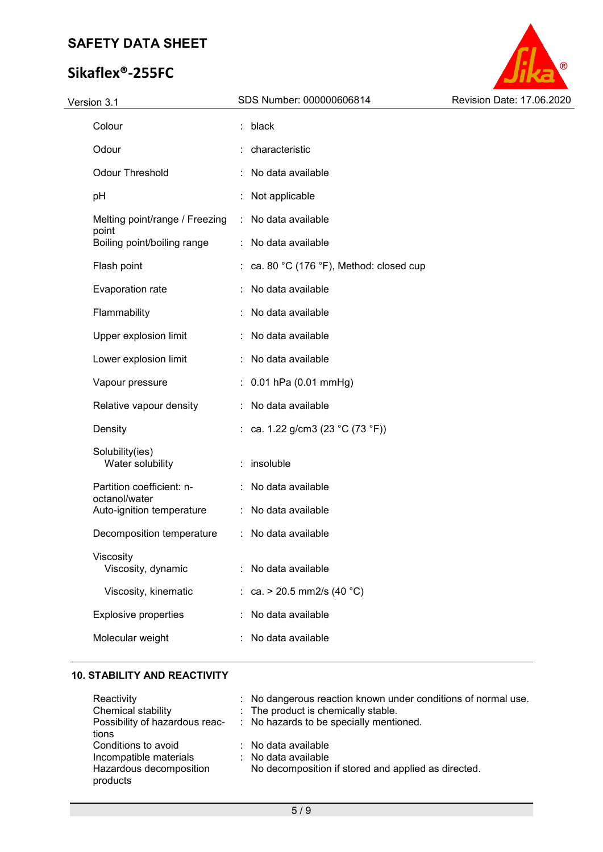# **Sikaflex®-255FC**



| Version 3.1                                | SDS Number: 000000606814                                     | Revision Date: 17.06.2020 |
|--------------------------------------------|--------------------------------------------------------------|---------------------------|
| Colour                                     | : black                                                      |                           |
| Odour                                      | : characteristic                                             |                           |
| <b>Odour Threshold</b>                     | : No data available                                          |                           |
| pH                                         | Not applicable                                               |                           |
| Melting point/range / Freezing             | No data available                                            |                           |
| point<br>Boiling point/boiling range       | No data available                                            |                           |
| Flash point                                | : ca. 80 $^{\circ}$ C (176 $^{\circ}$ F), Method: closed cup |                           |
| Evaporation rate                           | No data available                                            |                           |
| Flammability                               | No data available                                            |                           |
| Upper explosion limit                      | No data available                                            |                           |
| Lower explosion limit                      | No data available                                            |                           |
| Vapour pressure                            | $: 0.01$ hPa (0.01 mmHg)                                     |                           |
| Relative vapour density                    | No data available                                            |                           |
| Density                                    | : ca. 1.22 g/cm3 (23 °C (73 °F))                             |                           |
| Solubility(ies)<br>Water solubility        | : insoluble                                                  |                           |
| Partition coefficient: n-<br>octanol/water | No data available                                            |                           |
| Auto-ignition temperature                  | No data available                                            |                           |
| Decomposition temperature                  | No data available                                            |                           |
| Viscosity<br>Viscosity, dynamic            | No data available                                            |                           |
| Viscosity, kinematic                       | : ca. > 20.5 mm2/s (40 °C)                                   |                           |
| <b>Explosive properties</b>                | No data available                                            |                           |
| Molecular weight                           | No data available                                            |                           |
|                                            |                                                              |                           |

### **10. STABILITY AND REACTIVITY**

| : No dangerous reaction known under conditions of normal use. |
|---------------------------------------------------------------|
| : The product is chemically stable.                           |
| : No hazards to be specially mentioned.                       |
|                                                               |
| $\therefore$ No data available                                |
| $\therefore$ No data available                                |
| No decomposition if stored and applied as directed.           |
|                                                               |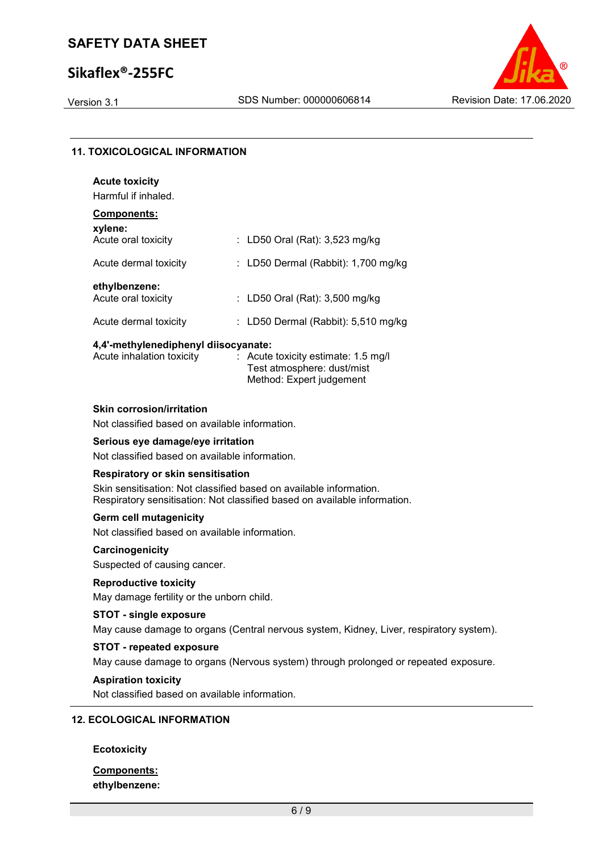## **Sikaflex®-255FC**



### **11. TOXICOLOGICAL INFORMATION**

| <b>Acute toxicity</b><br>Harmful if inhaled. |                                       |
|----------------------------------------------|---------------------------------------|
| Components:<br>xylene:                       |                                       |
| Acute oral toxicity                          | : LD50 Oral (Rat): $3,523$ mg/kg      |
| Acute dermal toxicity                        | : LD50 Dermal (Rabbit): $1,700$ mg/kg |
| ethylbenzene:<br>Acute oral toxicity         | : LD50 Oral (Rat): 3,500 mg/kg        |
| Acute dermal toxicity                        | : LD50 Dermal (Rabbit): $5,510$ mg/kg |

#### **4,4'-methylenediphenyl diisocyanate:**

| Acute inhalation toxicity | $\therefore$ Acute toxicity estimate: 1.5 mg/l |
|---------------------------|------------------------------------------------|
|                           | Test atmosphere: dust/mist                     |
|                           | Method: Expert judgement                       |

#### **Skin corrosion/irritation**

Not classified based on available information.

### **Serious eye damage/eye irritation**

Not classified based on available information.

#### **Respiratory or skin sensitisation**

Skin sensitisation: Not classified based on available information. Respiratory sensitisation: Not classified based on available information.

#### **Germ cell mutagenicity**

Not classified based on available information.

#### **Carcinogenicity**

Suspected of causing cancer.

### **Reproductive toxicity**

May damage fertility or the unborn child.

### **STOT - single exposure**

May cause damage to organs (Central nervous system, Kidney, Liver, respiratory system).

### **STOT - repeated exposure**

May cause damage to organs (Nervous system) through prolonged or repeated exposure.

#### **Aspiration toxicity**

Not classified based on available information.

### **12. ECOLOGICAL INFORMATION**

#### **Ecotoxicity**

### **Components: ethylbenzene:**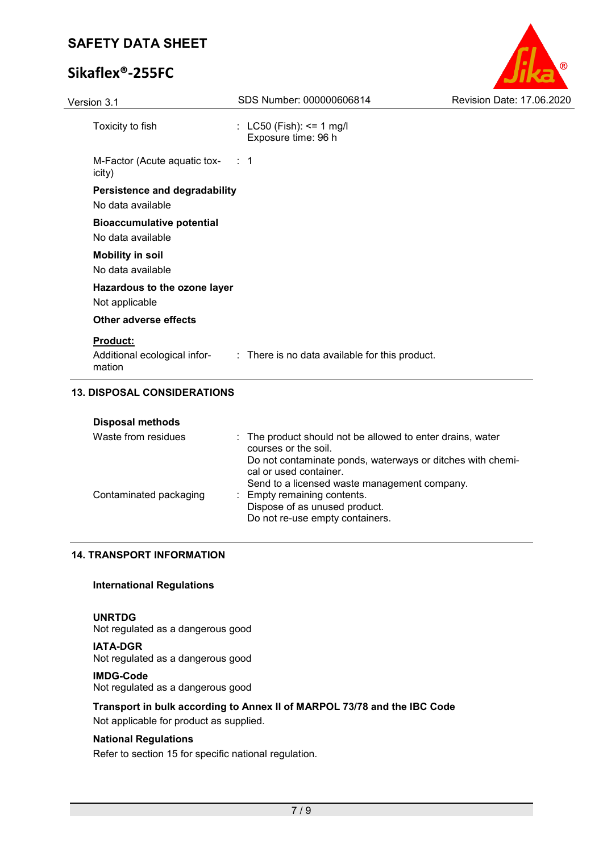# **Sikaflex®-255FC**

| Version 3.1                                               | SDS Number: 000000606814                                                    | Revision Date: 17.06.2020 |
|-----------------------------------------------------------|-----------------------------------------------------------------------------|---------------------------|
| Toxicity to fish                                          | : $LC50$ (Fish): <= 1 mg/l<br>Exposure time: 96 h                           |                           |
| M-Factor (Acute aquatic tox- : 1<br>icity)                |                                                                             |                           |
| <b>Persistence and degradability</b><br>No data available |                                                                             |                           |
| <b>Bioaccumulative potential</b><br>No data available     |                                                                             |                           |
| <b>Mobility in soil</b><br>No data available              |                                                                             |                           |
| Hazardous to the ozone layer<br>Not applicable            |                                                                             |                           |
| <b>Other adverse effects</b>                              |                                                                             |                           |
| Product:<br>mation                                        | Additional ecological infor- : There is no data available for this product. |                           |

 $^{\circledR}$ 

## **13. DISPOSAL CONSIDERATIONS**

| <b>Disposal methods</b> |                                                                                      |  |
|-------------------------|--------------------------------------------------------------------------------------|--|
| Waste from residues     | : The product should not be allowed to enter drains, water<br>courses or the soil.   |  |
|                         | Do not contaminate ponds, waterways or ditches with chemi-<br>cal or used container. |  |
|                         | Send to a licensed waste management company.                                         |  |
| Contaminated packaging  | : Empty remaining contents.                                                          |  |
|                         | Dispose of as unused product.                                                        |  |
|                         | Do not re-use empty containers.                                                      |  |

#### **14. TRANSPORT INFORMATION**

#### **International Regulations**

### **UNRTDG**

Not regulated as a dangerous good

**IATA-DGR** Not regulated as a dangerous good

#### **IMDG-Code**

Not regulated as a dangerous good

### **Transport in bulk according to Annex II of MARPOL 73/78 and the IBC Code**

Not applicable for product as supplied.

### **National Regulations**

Refer to section 15 for specific national regulation.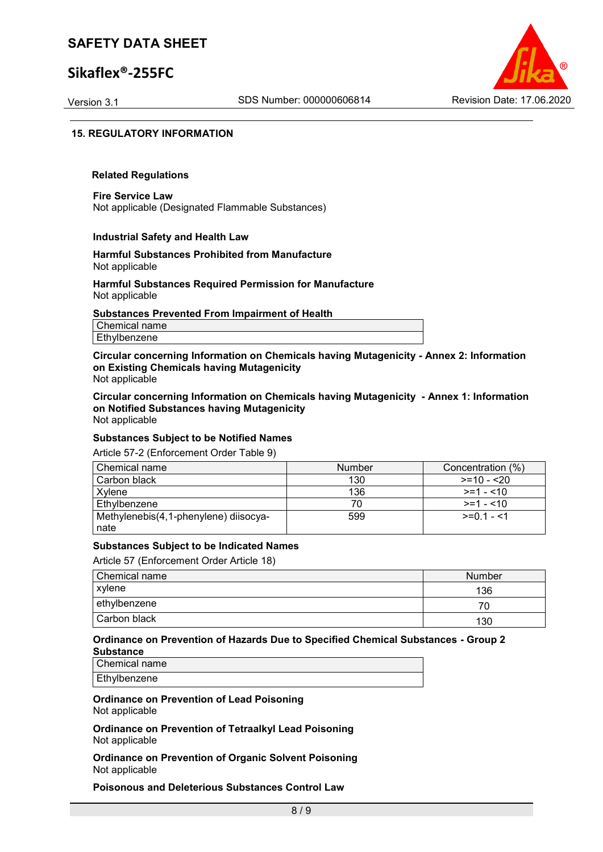## **Sikaflex®-255FC**



#### **15. REGULATORY INFORMATION**

#### **Related Regulations**

**Fire Service Law** Not applicable (Designated Flammable Substances)

#### **Industrial Safety and Health Law**

#### **Harmful Substances Prohibited from Manufacture** Not applicable

#### **Harmful Substances Required Permission for Manufacture** Not applicable

#### **Substances Prevented From Impairment of Health**

Chemical name Ethylbenzene

**Circular concerning Information on Chemicals having Mutagenicity - Annex 2: Information on Existing Chemicals having Mutagenicity** Not applicable

**Circular concerning Information on Chemicals having Mutagenicity - Annex 1: Information on Notified Substances having Mutagenicity** Not applicable

### **Substances Subject to be Notified Names**

Article 57-2 (Enforcement Order Table 9)

| Chemical name                         | <b>Number</b> | Concentration (%) |
|---------------------------------------|---------------|-------------------|
| Carbon black                          | 130           | $>=10 - 20$       |
| Xvlene                                | 136           | $>=1 - 10$        |
| Ethylbenzene                          |               | $>=1 - 10$        |
| Methylenebis(4,1-phenylene) diisocya- | 599           | $>=0.1 - 1$       |
| nate                                  |               |                   |

#### **Substances Subject to be Indicated Names**

Article 57 (Enforcement Order Article 18)

| Chemical name | Number |
|---------------|--------|
| xylene        | 136    |
| ethylbenzene  |        |
| Carbon black  | 130    |

#### **Ordinance on Prevention of Hazards Due to Specified Chemical Substances - Group 2 Substance**

Chemical name Ethylbenzene

**Ordinance on Prevention of Lead Poisoning** Not applicable

**Ordinance on Prevention of Tetraalkyl Lead Poisoning** Not applicable

**Ordinance on Prevention of Organic Solvent Poisoning** Not applicable

**Poisonous and Deleterious Substances Control Law**